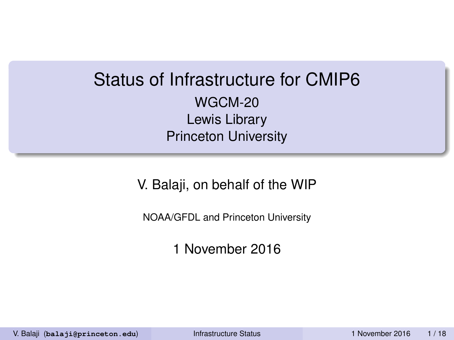### Status of Infrastructure for CMIP6 WGCM-20 Lewis Library Princeton University

V. Balaji, on behalf of the WIP

NOAA/GFDL and Princeton University

1 November 2016

V. Balaji (**balaji@princeton.edu**) [Infrastructure Status](#page-17-0) 1 November 2016 1 / 18

<span id="page-0-0"></span>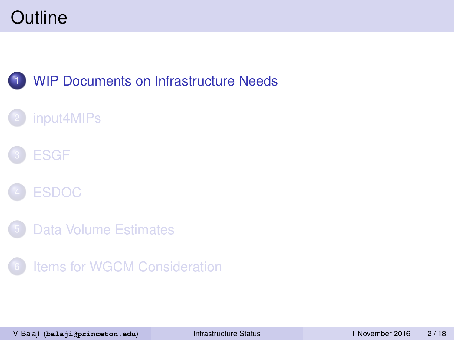### **[WIP Documents on Infrastructure Needs](#page-1-0)**

#### [input4MIPs](#page-6-0)





- [Data Volume Estimates](#page-14-0)
- [Items for WGCM Consideration](#page-16-0)

<span id="page-1-0"></span>V. Balaji (**balaji@princeton.edu**) [Infrastructure Status](#page-0-0) 1 November 2016 2 / 18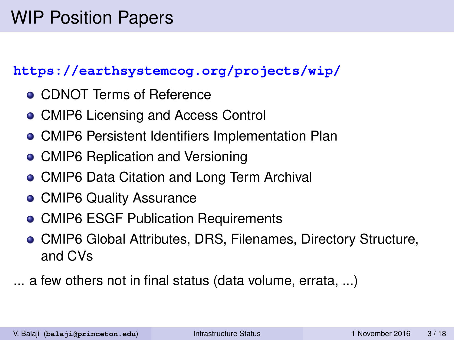#### **<https://earthsystemcog.org/projects/wip/>**

- **CDNOT Terms of Reference**
- CMIP6 Licensing and Access Control
- CMIP6 Persistent Identifiers Implementation Plan
- CMIP6 Replication and Versioning
- CMIP6 Data Citation and Long Term Archival
- **CMIP6 Quality Assurance**
- CMIP6 ESGF Publication Requirements
- CMIP6 Global Attributes, DRS, Filenames, Directory Structure, and CVs
- ... a few others not in final status (data volume, errata, ...)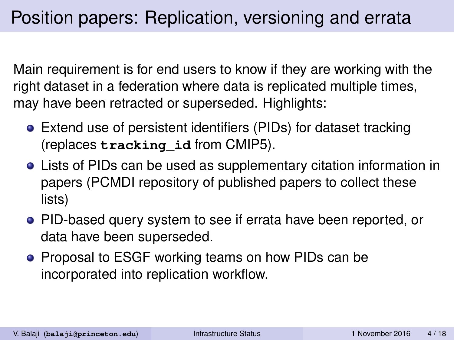Main requirement is for end users to know if they are working with the right dataset in a federation where data is replicated multiple times, may have been retracted or superseded. Highlights:

- Extend use of persistent identifiers (PIDs) for dataset tracking (replaces **tracking\_id** from CMIP5).
- Lists of PIDs can be used as supplementary citation information in papers (PCMDI repository of published papers to collect these lists)
- PID-based query system to see if errata have been reported, or data have been superseded.
- Proposal to ESGF working teams on how PIDs can be incorporated into replication workflow.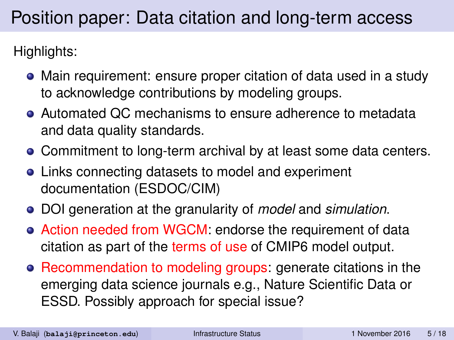# Position paper: Data citation and long-term access

Highlights:

- Main requirement: ensure proper citation of data used in a study to acknowledge contributions by modeling groups.
- Automated QC mechanisms to ensure adherence to metadata and data quality standards.
- Commitment to long-term archival by at least some data centers.
- Links connecting datasets to model and experiment documentation (ESDOC/CIM)
- DOI generation at the granularity of *model* and *simulation*.
- Action needed from WGCM: endorse the requirement of data citation as part of the terms of use of CMIP6 model output.
- Recommendation to modeling groups: generate citations in the emerging data science journals e.g., Nature Scientific Data or ESSD. Possibly approach for special issue?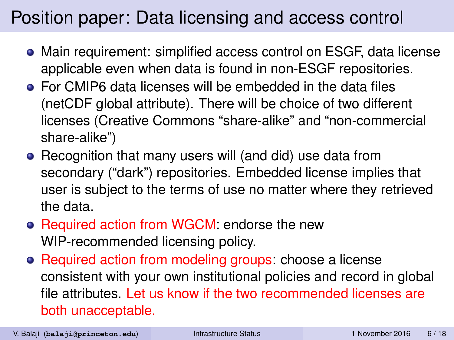# Position paper: Data licensing and access control

- Main requirement: simplified access control on ESGF, data license applicable even when data is found in non-ESGF repositories.
- For CMIP6 data licenses will be embedded in the data files (netCDF global attribute). There will be choice of two different licenses (Creative Commons "share-alike" and "non-commercial share-alike")
- Recognition that many users will (and did) use data from secondary ("dark") repositories. Embedded license implies that user is subject to the terms of use no matter where they retrieved the data.
- Required action from WGCM: endorse the new WIP-recommended licensing policy.
- Required action from modeling groups: choose a license consistent with your own institutional policies and record in global file attributes. Let us know if the two recommended licenses are both unacceptable.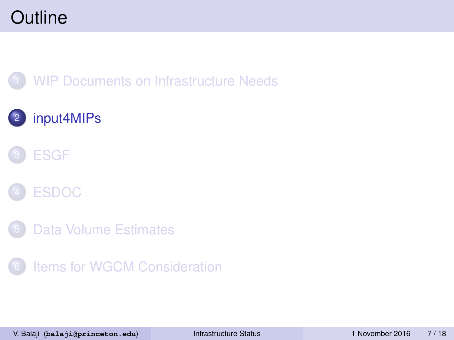#### **[WIP Documents on Infrastructure Needs](#page-1-0)**

### 2 [input4MIPs](#page-6-0)





- [Data Volume Estimates](#page-14-0)
- [Items for WGCM Consideration](#page-16-0)

<span id="page-6-0"></span>V. Balaji (**balaji@princeton.edu**) [Infrastructure Status](#page-0-0) 1 November 2016 7 / 18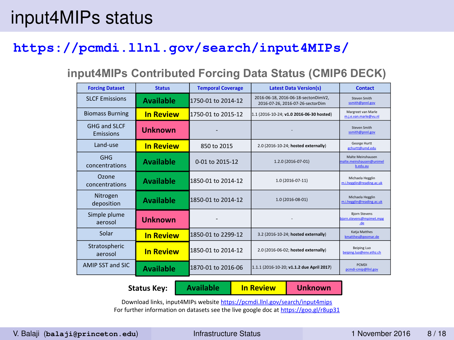### input4MIPs status

#### **<https://pcmdi.llnl.gov/search/input4MIPs/>**

#### **input4MIPs Contributed Forcing Data Status (CMIP6 DECK)**

| <b>Forcing Dataset</b>    | <b>Status</b>    | <b>Temporal Coverage</b> | <b>Latest Data Version(s)</b>                                           | Contact                                                   |
|---------------------------|------------------|--------------------------|-------------------------------------------------------------------------|-----------------------------------------------------------|
| <b>SLCF Emissions</b>     | <b>Available</b> | 1750-01 to 2014-12       | 2016-06-18, 2016-06-18-sectonDimV2.<br>2016-07-26, 2016-07-26-sectorDim | Stewen Smith<br>ssmith@pnnl.gov                           |
| <b>Biomass Burning</b>    | <b>In Review</b> | 1750-01 to 2015-12       | 1.1 (2016-10-24: v1.0 2016-06-30 hosted)                                | Margreet van Marle<br>m.j.e.van.marle@vu.nl               |
| GHG and SLCF<br>Emissions | <b>Unknown</b>   |                          |                                                                         | Stewen Smith<br>ssmith@pnnl.gov                           |
| Land-use                  | <b>In Review</b> | 850 to 2015              | 2.0 (2016-10-24; hosted externally)                                     | George Hurtt<br>echurtt@umd.edu                           |
| GHG<br>concentrations     | Available        | 0-01 to 2015-12          | 1.2.0 (2016-07-01)                                                      | Malte Meinshausen<br>malte.meinshausen@unimel<br>b.edu.au |
| Ozone<br>concentrations   | <b>Available</b> | 1850-01 to 2014-12       | 1.0 (2016-07-11)                                                        | Michaela Hegglin<br>m.t.hegglin@reading.ac.uk             |
| Nitrogen<br>deposition    | <b>Available</b> | 1850-01 to 2014-12       | 1.0 (2016-08-01)                                                        | Michaela Hegglin<br>m.theezlin@reading.ac.uk              |
| Simple plume<br>aerosol   | <b>Unknown</b>   |                          |                                                                         | <b>Biorn Stevens</b><br>bjorn stevens@mpimet.mpg<br>de    |
| Solar                     | <b>In Review</b> | 1850-01 to 2299-12       | 3.2 (2016-10-24: hosted externally)                                     | Katia Matthes<br>kmatthes@geomar.de                       |
| Stratospheric<br>aerosol  | <b>In Review</b> | 1850-01 to 2014-12       | 2.0 (2016-06-02; hosted externally)                                     | Beiping Luo<br>belping.luo@env.ethz.ch                    |
| AMIP SST and SIC          | <b>Available</b> | 1870-01 to 2016-06       | 1.1.1 (2016-10-20; v1.1.2 due April 2017)                               | <b>PCMDL</b><br>pcmd-cmip@lini.gov                        |

**Status Key: Available In Review Unknown**

Download links, input4MIPs website https://pcmdi.llnl.gov/search/input4mips For further information on datasets see the live google doc at https://goo.gl/r8up31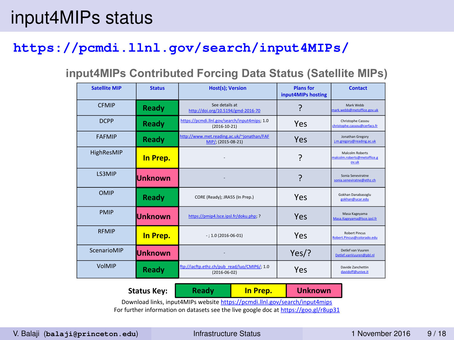### input4MIPs status

#### **<https://pcmdi.llnl.gov/search/input4MIPs/>**

#### **input4MIPs Contributed Forcing Data Status (Satellite MIPs)**

| <b>Satellite MIP</b> | <b>Status</b>  | <b>Host(s): Version</b>                                             | <b>Plans for</b><br>input4MIPs hosting | Contact                                                |
|----------------------|----------------|---------------------------------------------------------------------|----------------------------------------|--------------------------------------------------------|
| <b>CEMIP</b>         | Ready          | See details at<br>http://doi.org/10.5194/gmd-2016-70                | ς                                      | Mark Webb<br>mark.webb@metoffice.gov.uk                |
| <b>DCPP</b>          | Ready          | https://pcmdi.llnl.gov/search/input4mips; 1.0<br>$(2016 - 10 - 21)$ | Yes                                    | Christophe Cassou<br>christophe.cassou@cerfacs.fr      |
| <b>FAFMIP</b>        | Ready          | http://www.met.reading.ac.uk/~jonathan/FAF<br>MIP/; (2015-08-21)    | Yes                                    | Jonathan Gregory<br>Lm.gregory@reading.ac.uk           |
| HighResMIP           | In Prep.       |                                                                     | ?                                      | Malcolm Roberts<br>malcolm.roberts@metoffice.g<br>owuk |
| <b>LS3MIP</b>        | Unknown        |                                                                     | ç                                      | Sonia Seneviratne<br>sonia.seneviratne@ethz.ch         |
| OMIP                 | Ready          | CORE (Ready): JRA55 (In Prep.)                                      | Yes                                    | Gokhan Danabasozlu<br>gokhan@ucar.edu                  |
| <b>PMIP</b>          | <b>Unknown</b> | https://pmip4.lsce.ipsl.fr/doku.php; ?                              | Yes                                    | Masa Kageyama<br>Masa.Kageyama@Isce.ipsl.fr            |
| <b>RFMIP</b>         | In Prep.       | $-:1.0(2016-06-01)$                                                 | Yes                                    | <b>Robert Pinnus</b><br>Robert Pincus@colorado.edu     |
| ScenarioMIP          | <b>Unknown</b> |                                                                     | Yes                                    | Detlef van Vuuren<br>Detlef.vanVuuren@pbl.nl           |
| VolMIP               | Ready          | ftp://iacftp.ethz.ch/pub_read/luo/CMIP6/; 1.0<br>$(2016 - 06 - 02)$ | Yes                                    | Davide Zanchettin<br>davidoff@unive.it                 |

Download links, input4MIPs website https://pcmdi.llnl.gov/search/input4mips For further information on datasets see the live google doc at https://goo.gl/r8up31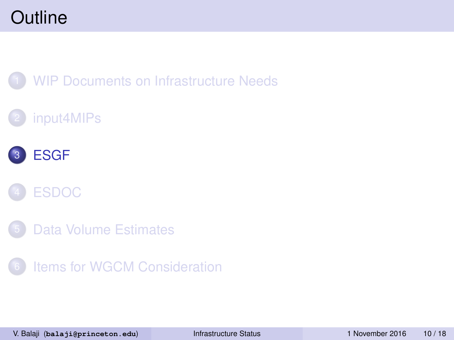#### **[WIP Documents on Infrastructure Needs](#page-1-0)**

#### [input4MIPs](#page-6-0)





- [Data Volume Estimates](#page-14-0)
- [Items for WGCM Consideration](#page-16-0)

<span id="page-9-0"></span>V. Balaji (**balaji@princeton.edu**) [Infrastructure Status](#page-0-0) 1 November 2016 10 / 18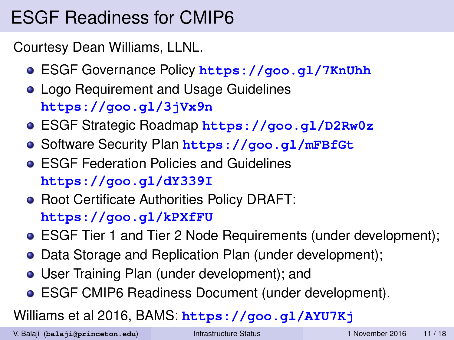# ESGF Readiness for CMIP6

Courtesy Dean Williams, LLNL.

- ESGF Governance Policy **<https://goo.gl/7KnUhh>**
- **Logo Requirement and Usage Guidelines <https://goo.gl/3jVx9n>**
- ESGF Strategic Roadmap **<https://goo.gl/D2Rw0z>**
- Software Security Plan **<https://goo.gl/mFBfGt>**
- **ESGE Federation Policies and Guidelines <https://goo.gl/dY339I>**
- Root Certificate Authorities Policy DRAFT: **<https://goo.gl/kPXfFU>**
- ESGF Tier 1 and Tier 2 Node Requirements (under development);
- Data Storage and Replication Plan (under development);
- User Training Plan (under development); and
- ESGF CMIP6 Readiness Document (under development).

#### Williams et al 2016, BAMS: **<https://goo.gl/AYU7Kj>**

V. Balaji (**balaji@princeton.edu**) [Infrastructure Status](#page-0-0) 1 November 2016 11 / 18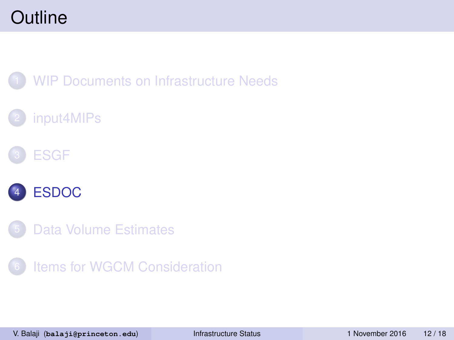**[WIP Documents on Infrastructure Needs](#page-1-0)** 

### [input4MIPs](#page-6-0)





[Data Volume Estimates](#page-14-0)

[Items for WGCM Consideration](#page-16-0)

<span id="page-11-0"></span>V. Balaji (**balaji@princeton.edu**) [Infrastructure Status](#page-0-0) 1 November 2016 12 / 18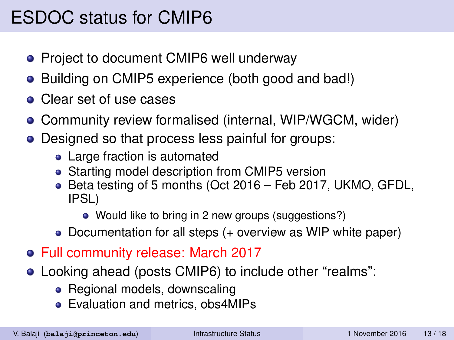# ESDOC status for CMIP6

- Project to document CMIP6 well underway
- Building on CMIP5 experience (both good and bad!)
- Clear set of use cases
- Community review formalised (internal, WIP/WGCM, wider)
- Designed so that process less painful for groups:
	- Large fraction is automated
	- Starting model description from CMIP5 version
	- Beta testing of 5 months (Oct 2016 Feb 2017, UKMO, GFDL, IPSL)
		- Would like to bring in 2 new groups (suggestions?)
	- Documentation for all steps (+ overview as WIP white paper)
- Full community release: March 2017
- Looking ahead (posts CMIP6) to include other "realms":
	- Regional models, downscaling
	- Evaluation and metrics, obs4MIPs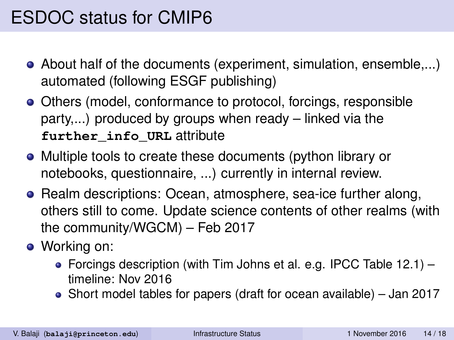### ESDOC status for CMIP6

- About half of the documents (experiment, simulation, ensemble,...) automated (following ESGF publishing)
- Others (model, conformance to protocol, forcings, responsible party,...) produced by groups when ready – linked via the **further\_info\_URL** attribute
- Multiple tools to create these documents (python library or notebooks, questionnaire, ...) currently in internal review.
- Realm descriptions: Ocean, atmosphere, sea-ice further along, others still to come. Update science contents of other realms (with the community/WGCM) – Feb 2017
- Working on:
	- Forcings description (with Tim Johns et al. e.g. IPCC Table 12.1) timeline: Nov 2016
	- Short model tables for papers (draft for ocean available) Jan 2017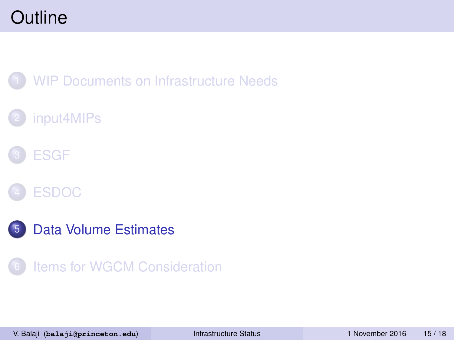**[WIP Documents on Infrastructure Needs](#page-1-0)** 

### [input4MIPs](#page-6-0)







<span id="page-14-0"></span>[Items for WGCM Consideration](#page-16-0)

V. Balaji (**balaji@princeton.edu**) [Infrastructure Status](#page-0-0) 1 November 2016 15 / 18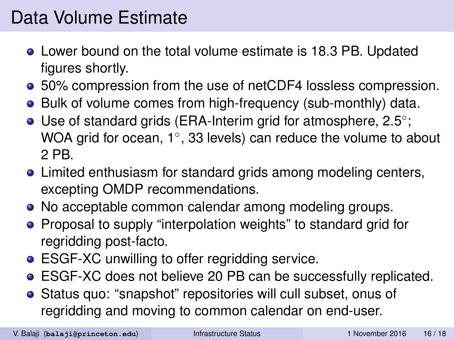# Data Volume Estimate

- Lower bound on the total volume estimate is 18.3 PB. Updated figures shortly.
- 50% compression from the use of netCDF4 lossless compression.
- Bulk of volume comes from high-frequency (sub-monthly) data.
- Use of standard grids (ERA-Interim grid for atmosphere, 2.5°; WOA grid for ocean, 1°, 33 levels) can reduce the volume to about 2 PB.
- Limited enthusiasm for standard grids among modeling centers, excepting OMDP recommendations.
- No acceptable common calendar among modeling groups.
- **•** Proposal to supply "interpolation weights" to standard grid for regridding post-facto.
- **ESGF-XC unwilling to offer regridding service.**
- ESGF-XC does not believe 20 PB can be successfully replicated.
- Status quo: "snapshot" repositories will cull subset, onus of regridding and moving to common calendar on end-user.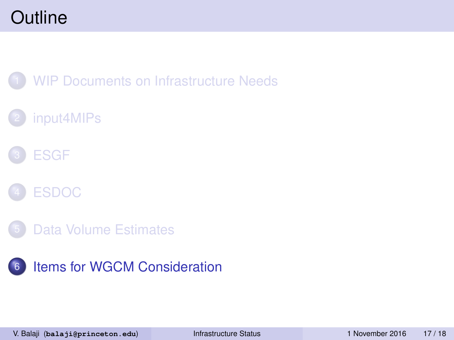#### **[WIP Documents on Infrastructure Needs](#page-1-0)**

### [input4MIPs](#page-6-0)









<span id="page-16-0"></span>V. Balaji (**balaji@princeton.edu**) [Infrastructure Status](#page-0-0) 1 November 2016 17 / 18